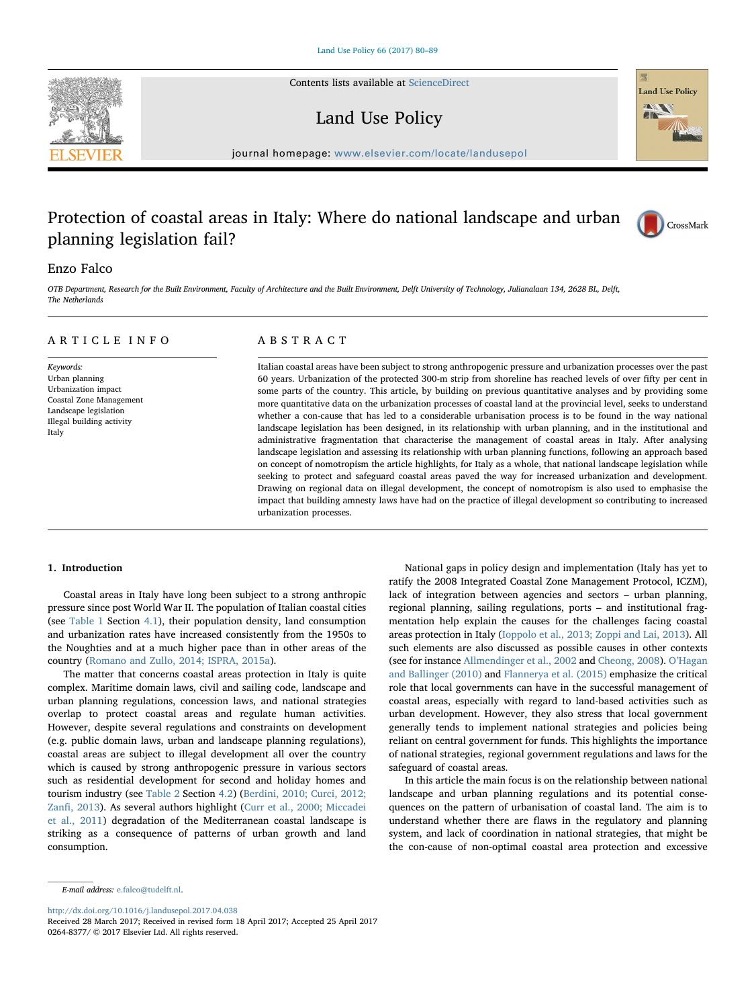Contents lists available at [ScienceDirect](http://www.sciencedirect.com/science/journal/02648377)





## Land Use Policy

journal homepage: [www.elsevier.com/locate/landusepol](http://www.elsevier.com/locate/landusepol)

# Protection of coastal areas in Italy: Where do national landscape and urban planning legislation fail?



## Enzo Falco

OTB Department, Research for the Built Environment, Faculty of Architecture and the Built Environment, Delft University of Technology, Julianalaan 134, 2628 BL, Delft, The Netherlands

#### ARTICLE INFO

Keywords: Urban planning Urbanization impact Coastal Zone Management Landscape legislation Illegal building activity Italy

### ABSTRACT

Italian coastal areas have been subject to strong anthropogenic pressure and urbanization processes over the past 60 years. Urbanization of the protected 300-m strip from shoreline has reached levels of over fifty per cent in some parts of the country. This article, by building on previous quantitative analyses and by providing some more quantitative data on the urbanization processes of coastal land at the provincial level, seeks to understand whether a con-cause that has led to a considerable urbanisation process is to be found in the way national landscape legislation has been designed, in its relationship with urban planning, and in the institutional and administrative fragmentation that characterise the management of coastal areas in Italy. After analysing landscape legislation and assessing its relationship with urban planning functions, following an approach based on concept of nomotropism the article highlights, for Italy as a whole, that national landscape legislation while seeking to protect and safeguard coastal areas paved the way for increased urbanization and development. Drawing on regional data on illegal development, the concept of nomotropism is also used to emphasise the impact that building amnesty laws have had on the practice of illegal development so contributing to increased urbanization processes.

#### 1. Introduction

Coastal areas in Italy have long been subject to a strong anthropic pressure since post World War II. The population of Italian coastal cities (see Table 1 Section 4.1), their population density, land consumption and urbanization rates have increased consistently from the 1950s to the Noughties and at a much higher pace than in other areas of the country (Romano and Zullo, 2014; ISPRA, 2015a).

The matter that concerns coastal areas protection in Italy is quite complex. Maritime domain laws, civil and sailing code, landscape and urban planning regulations, concession laws, and national strategies overlap to protect coastal areas and regulate human activities. However, despite several regulations and constraints on development (e.g. public domain laws, urban and landscape planning regulations), coastal areas are subject to illegal development all over the country which is caused by strong anthropogenic pressure in various sectors such as residential development for second and holiday homes and tourism industry (see Table 2 Section 4.2) (Berdini, 2010; Curci, 2012; Zanfi, 2013). As several authors highlight (Curr et al., 2000; Miccadei et al., 2011) degradation of the Mediterranean coastal landscape is striking as a consequence of patterns of urban growth and land consumption.

National gaps in policy design and implementation (Italy has yet to ratify the 2008 Integrated Coastal Zone Management Protocol, ICZM), lack of integration between agencies and sectors – urban planning, regional planning, sailing regulations, ports – and institutional fragmentation help explain the causes for the challenges facing coastal areas protection in Italy (Ioppolo et al., 2013; Zoppi and Lai, 2013). All such elements are also discussed as possible causes in other contexts (see for instance Allmendinger et al., 2002 and Cheong, 2008). O'Hagan and Ballinger (2010) and Flannerya et al. (2015) emphasize the critical role that local governments can have in the successful management of coastal areas, especially with regard to land-based activities such as urban development. However, they also stress that local government generally tends to implement national strategies and policies being reliant on central government for funds. This highlights the importance of national strategies, regional government regulations and laws for the safeguard of coastal areas.

In this article the main focus is on the relationship between national landscape and urban planning regulations and its potential consequences on the pattern of urbanisation of coastal land. The aim is to understand whether there are flaws in the regulatory and planning system, and lack of coordination in national strategies, that might be the con-cause of non-optimal coastal area protection and excessive

<http://dx.doi.org/10.1016/j.landusepol.2017.04.038>

E-mail address: [e.falco@tudelft.nl.](mailto:e.falco@tudelft.nl)

Received 28 March 2017; Received in revised form 18 April 2017; Accepted 25 April 2017 0264-8377/ © 2017 Elsevier Ltd. All rights reserved.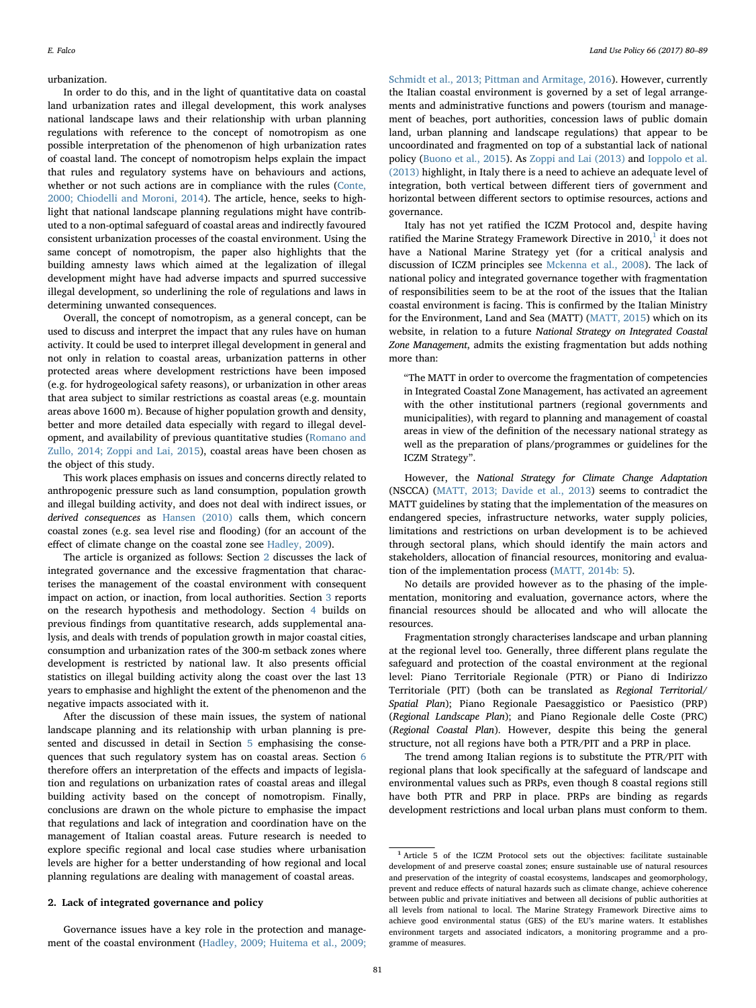#### urbanization.

In order to do this, and in the light of quantitative data on coastal land urbanization rates and illegal development, this work analyses national landscape laws and their relationship with urban planning regulations with reference to the concept of nomotropism as one possible interpretation of the phenomenon of high urbanization rates of coastal land. The concept of nomotropism helps explain the impact that rules and regulatory systems have on behaviours and actions, whether or not such actions are in compliance with the rules (Conte, 2000; Chiodelli and Moroni, 2014). The article, hence, seeks to highlight that national landscape planning regulations might have contributed to a non-optimal safeguard of coastal areas and indirectly favoured consistent urbanization processes of the coastal environment. Using the same concept of nomotropism, the paper also highlights that the building amnesty laws which aimed at the legalization of illegal development might have had adverse impacts and spurred successive illegal development, so underlining the role of regulations and laws in determining unwanted consequences.

Overall, the concept of nomotropism, as a general concept, can be used to discuss and interpret the impact that any rules have on human activity. It could be used to interpret illegal development in general and not only in relation to coastal areas, urbanization patterns in other protected areas where development restrictions have been imposed (e.g. for hydrogeological safety reasons), or urbanization in other areas that area subject to similar restrictions as coastal areas (e.g. mountain areas above 1600 m). Because of higher population growth and density, better and more detailed data especially with regard to illegal development, and availability of previous quantitative studies (Romano and Zullo, 2014; Zoppi and Lai, 2015), coastal areas have been chosen as the object of this study.

This work places emphasis on issues and concerns directly related to anthropogenic pressure such as land consumption, population growth and illegal building activity, and does not deal with indirect issues, or derived consequences as Hansen (2010) calls them, which concern coastal zones (e.g. sea level rise and flooding) (for an account of the effect of climate change on the coastal zone see Hadley, 2009).

The article is organized as follows: Section 2 discusses the lack of integrated governance and the excessive fragmentation that characterises the management of the coastal environment with consequent impact on action, or inaction, from local authorities. Section 3 reports on the research hypothesis and methodology. Section 4 builds on previous findings from quantitative research, adds supplemental analysis, and deals with trends of population growth in major coastal cities, consumption and urbanization rates of the 300-m setback zones where development is restricted by national law. It also presents official statistics on illegal building activity along the coast over the last 13 years to emphasise and highlight the extent of the phenomenon and the negative impacts associated with it.

After the discussion of these main issues, the system of national landscape planning and its relationship with urban planning is presented and discussed in detail in Section 5 emphasising the consequences that such regulatory system has on coastal areas. Section 6 therefore offers an interpretation of the effects and impacts of legislation and regulations on urbanization rates of coastal areas and illegal building activity based on the concept of nomotropism. Finally, conclusions are drawn on the whole picture to emphasise the impact that regulations and lack of integration and coordination have on the management of Italian coastal areas. Future research is needed to explore specific regional and local case studies where urbanisation levels are higher for a better understanding of how regional and local planning regulations are dealing with management of coastal areas.

#### 2. Lack of integrated governance and policy

Governance issues have a key role in the protection and management of the coastal environment (Hadley, 2009; Huitema et al., 2009;

Schmidt et al., 2013; Pittman and Armitage, 2016). However, currently the Italian coastal environment is governed by a set of legal arrangements and administrative functions and powers (tourism and management of beaches, port authorities, concession laws of public domain land, urban planning and landscape regulations) that appear to be uncoordinated and fragmented on top of a substantial lack of national policy (Buono et al., 2015). As Zoppi and Lai (2013) and Ioppolo et al. (2013) highlight, in Italy there is a need to achieve an adequate level of integration, both vertical between different tiers of government and horizontal between different sectors to optimise resources, actions and governance.

Italy has not yet ratified the ICZM Protocol and, despite having ratified the Marine Strategy Framework Directive in  $2010<sup>1</sup>$  it does not have a National Marine Strategy yet (for a critical analysis and discussion of ICZM principles see Mckenna et al., 2008). The lack of national policy and integrated governance together with fragmentation of responsibilities seem to be at the root of the issues that the Italian coastal environment is facing. This is confirmed by the Italian Ministry for the Environment, Land and Sea (MATT) (MATT, 2015) which on its website, in relation to a future National Strategy on Integrated Coastal Zone Management, admits the existing fragmentation but adds nothing more than:

"The MATT in order to overcome the fragmentation of competencies in Integrated Coastal Zone Management, has activated an agreement with the other institutional partners (regional governments and municipalities), with regard to planning and management of coastal areas in view of the definition of the necessary national strategy as well as the preparation of plans/programmes or guidelines for the ICZM Strategy".

However, the National Strategy for Climate Change Adaptation (NSCCA) (MATT, 2013; Davide et al., 2013) seems to contradict the MATT guidelines by stating that the implementation of the measures on endangered species, infrastructure networks, water supply policies, limitations and restrictions on urban development is to be achieved through sectoral plans, which should identify the main actors and stakeholders, allocation of financial resources, monitoring and evaluation of the implementation process (MATT, 2014b: 5).

No details are provided however as to the phasing of the implementation, monitoring and evaluation, governance actors, where the financial resources should be allocated and who will allocate the resources.

Fragmentation strongly characterises landscape and urban planning at the regional level too. Generally, three different plans regulate the safeguard and protection of the coastal environment at the regional level: Piano Territoriale Regionale (PTR) or Piano di Indirizzo Territoriale (PIT) (both can be translated as Regional Territorial/ Spatial Plan); Piano Regionale Paesaggistico or Paesistico (PRP) (Regional Landscape Plan); and Piano Regionale delle Coste (PRC) (Regional Coastal Plan). However, despite this being the general structure, not all regions have both a PTR/PIT and a PRP in place.

The trend among Italian regions is to substitute the PTR/PIT with regional plans that look specifically at the safeguard of landscape and environmental values such as PRPs, even though 8 coastal regions still have both PTR and PRP in place. PRPs are binding as regards development restrictions and local urban plans must conform to them.

<sup>1</sup> Article 5 of the ICZM Protocol sets out the objectives: facilitate sustainable development of and preserve coastal zones; ensure sustainable use of natural resources and preservation of the integrity of coastal ecosystems, landscapes and geomorphology, prevent and reduce effects of natural hazards such as climate change, achieve coherence between public and private initiatives and between all decisions of public authorities at all levels from national to local. The Marine Strategy Framework Directive aims to achieve good environmental status (GES) of the EU's marine waters. It establishes environment targets and associated indicators, a monitoring programme and a programme of measures.